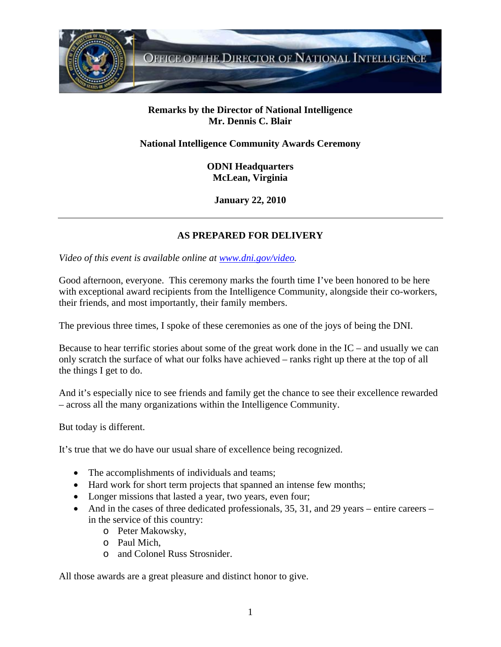

## **Remarks by the Director of National Intelligence Mr. Dennis C. Blair**

## **National Intelligence Community Awards Ceremony**

**ODNI Headquarters McLean, Virginia** 

**January 22, 2010** 

## **AS PREPARED FOR DELIVERY**

*Video of this event is available online at www.dni.gov/video.* 

Good afternoon, everyone. This ceremony marks the fourth time I've been honored to be here with exceptional award recipients from the Intelligence Community, alongside their co-workers, their friends, and most importantly, their family members.

The previous three times, I spoke of these ceremonies as one of the joys of being the DNI.

Because to hear terrific stories about some of the great work done in the  $IC$  – and usually we can only scratch the surface of what our folks have achieved – ranks right up there at the top of all the things I get to do.

And it's especially nice to see friends and family get the chance to see their excellence rewarded – across all the many organizations within the Intelligence Community.

But today is different.

It's true that we do have our usual share of excellence being recognized.

- The accomplishments of individuals and teams;
- Hard work for short term projects that spanned an intense few months;
- Longer missions that lasted a year, two years, even four;
- And in the cases of three dedicated professionals, 35, 31, and 29 years entire careers in the service of this country:
	- o Peter Makowsky,
	- o Paul Mich,
	- o and Colonel Russ Strosnider.

All those awards are a great pleasure and distinct honor to give.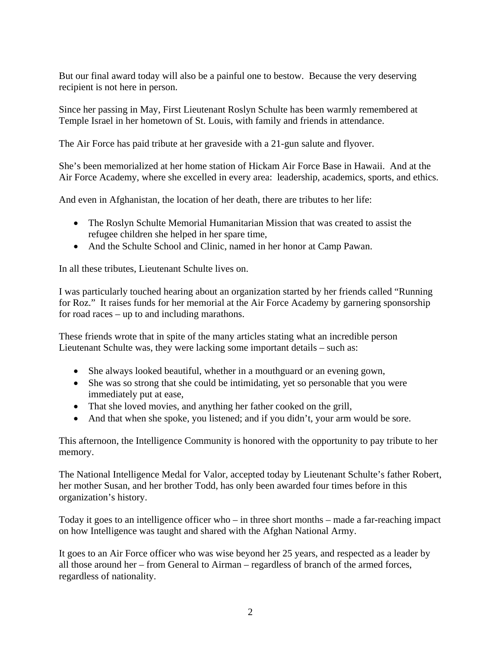But our final award today will also be a painful one to bestow. Because the very deserving recipient is not here in person.

Since her passing in May, First Lieutenant Roslyn Schulte has been warmly remembered at Temple Israel in her hometown of St. Louis, with family and friends in attendance.

The Air Force has paid tribute at her graveside with a 21-gun salute and flyover.

She's been memorialized at her home station of Hickam Air Force Base in Hawaii. And at the Air Force Academy, where she excelled in every area: leadership, academics, sports, and ethics.

And even in Afghanistan, the location of her death, there are tributes to her life:

- The Roslyn Schulte Memorial Humanitarian Mission that was created to assist the refugee children she helped in her spare time,
- And the Schulte School and Clinic, named in her honor at Camp Pawan.

In all these tributes, Lieutenant Schulte lives on.

I was particularly touched hearing about an organization started by her friends called "Running for Roz." It raises funds for her memorial at the Air Force Academy by garnering sponsorship for road races – up to and including marathons.

These friends wrote that in spite of the many articles stating what an incredible person Lieutenant Schulte was, they were lacking some important details – such as:

- She always looked beautiful, whether in a mouthguard or an evening gown,
- She was so strong that she could be intimidating, yet so personable that you were immediately put at ease,
- That she loved movies, and anything her father cooked on the grill,
- And that when she spoke, you listened; and if you didn't, your arm would be sore.

This afternoon, the Intelligence Community is honored with the opportunity to pay tribute to her memory.

The National Intelligence Medal for Valor, accepted today by Lieutenant Schulte's father Robert, her mother Susan, and her brother Todd, has only been awarded four times before in this organization's history.

Today it goes to an intelligence officer who – in three short months – made a far-reaching impact on how Intelligence was taught and shared with the Afghan National Army.

It goes to an Air Force officer who was wise beyond her 25 years, and respected as a leader by all those around her – from General to Airman – regardless of branch of the armed forces, regardless of nationality.